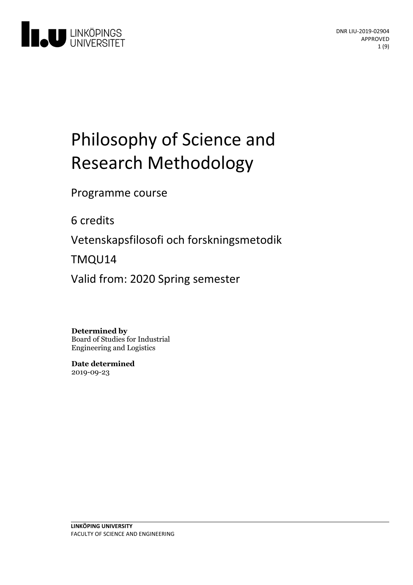

# Philosophy of Science and Research Methodology

Programme course

6 credits

Vetenskapsfilosofi och forskningsmetodik

TMQU14

Valid from: 2020 Spring semester

**Determined by**

Board of Studies for Industrial Engineering and Logistics

**Date determined** 2019-09-23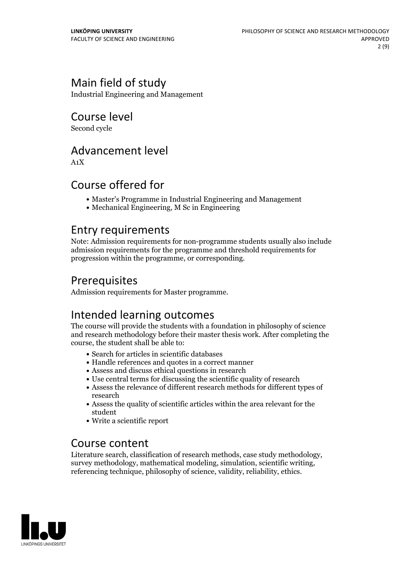# Main field of study

Industrial Engineering and Management

Course level

Second cycle

### Advancement level

A1X

### Course offered for

- Master's Programme in Industrial Engineering and Management
- Mechanical Engineering, M Sc in Engineering

### Entry requirements

Note: Admission requirements for non-programme students usually also include admission requirements for the programme and threshold requirements for progression within the programme, or corresponding.

### Prerequisites

Admission requirements for Master programme.

# Intended learning outcomes

The course will provide the students with a foundation in philosophy of science and research methodology before their master thesis work. After completing the course, the student shall be able to:

- Search for articles in scientific databases
- Handle references and quotes in a correct manner
- Assess and discuss ethical questions in research
- Use central terms for discussing the scientific quality of research
- Assess the relevance of different research methods for different types of research
- Assess the quality of scientific articles within the area relevant for the student
- Write a scientific report

### Course content

Literature search, classification of research methods, case study methodology, survey methodology, mathematical modeling, simulation, scientific writing, referencing technique, philosophy of science, validity, reliability,

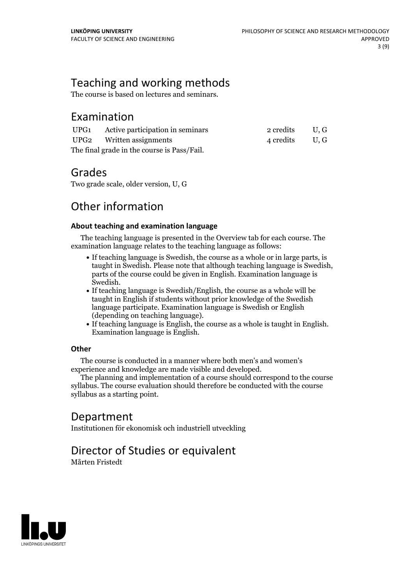# Teaching and working methods

The course is based on lectures and seminars.

### Examination

|                                             | UPG1 Active participation in seminars | 2 credits U.G |  |
|---------------------------------------------|---------------------------------------|---------------|--|
|                                             | UPG2 Written assignments              | 4 credits U.G |  |
| The final grade in the course is Pass/Fail. |                                       |               |  |

### Grades

Two grade scale, older version, U, G

# Other information

#### **About teaching and examination language**

The teaching language is presented in the Overview tab for each course. The examination language relates to the teaching language as follows:

- If teaching language is Swedish, the course as a whole or in large parts, is taught in Swedish. Please note that although teaching language is Swedish, parts of the course could be given in English. Examination language is
- Swedish.<br>• If teaching language is Swedish/English, the course as a whole will be taught in English if students without prior knowledge of the Swedish language participate. Examination language is Swedish or English
- $\bullet$  If teaching language is English, the course as a whole is taught in English. Examination language is English.

#### **Other**

The course is conducted in a manner where both men's and women's

The planning and implementation of a course should correspond to the course should correspond to the course should correspond to the course should correspond to the course should correspond to the course of the course of t syllabus. The course evaluation should therefore be conducted with the course syllabus as a starting point.

# Department

Institutionen för ekonomisk och industriell utveckling

# Director of Studies or equivalent

Mårten Fristedt

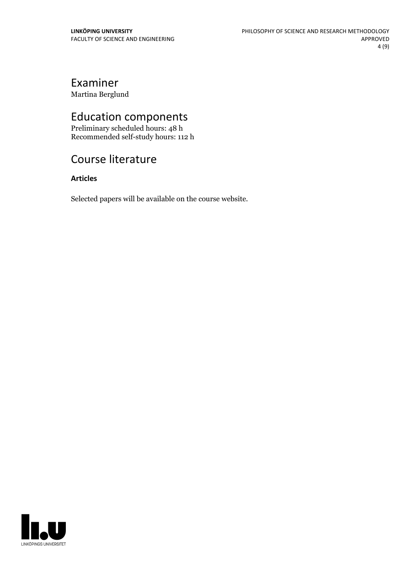# Examiner

Martina Berglund

# Education components

Preliminary scheduled hours: 48 h Recommended self-study hours: 112 h

# Course literature

### **Articles**

Selected papers will be available on the course website.

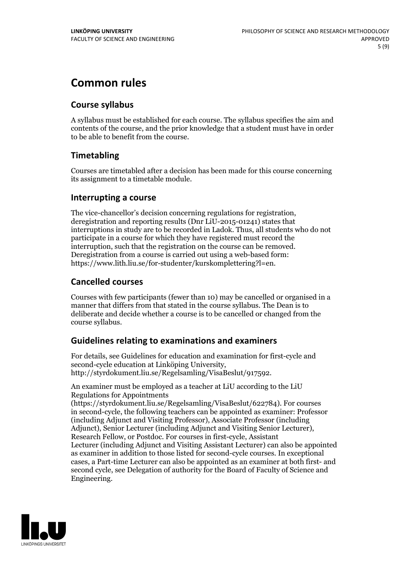# **Common rules**

#### **Course syllabus**

A syllabus must be established for each course. The syllabus specifies the aim and contents of the course, and the prior knowledge that a student must have in order to be able to benefit from the course.

### **Timetabling**

Courses are timetabled after a decision has been made for this course concerning its assignment to a timetable module.

#### **Interrupting a course**

The vice-chancellor's decision concerning regulations for registration, deregistration and reporting results (Dnr LiU-2015-01241) states that interruptions in study are to be recorded in Ladok. Thus, all students who do not participate in a course for which they have registered must record the interruption, such that the registration on the course can be removed. Deregistration from <sup>a</sup> course is carried outusing <sup>a</sup> web-based form: https://www.lith.liu.se/for-studenter/kurskomplettering?l=en.

### **Cancelled courses**

Courses with few participants (fewer than 10) may be cancelled or organised in a manner that differs from that stated in the course syllabus. The Dean is to deliberate and decide whether a course is to be cancelled or changed from the course syllabus.

### **Guidelines relatingto examinations and examiners**

For details, see Guidelines for education and examination for first-cycle and second-cycle education at Linköping University, http://styrdokument.liu.se/Regelsamling/VisaBeslut/917592.

An examiner must be employed as a teacher at LiU according to the LiU Regulations for Appointments

(https://styrdokument.liu.se/Regelsamling/VisaBeslut/622784). For courses in second-cycle, the following teachers can be appointed as examiner: Professor (including Adjunct and Visiting Professor), Associate Professor (including Adjunct), Senior Lecturer (including Adjunct and Visiting Senior Lecturer), Research Fellow, or Postdoc. For courses in first-cycle, Assistant Lecturer (including Adjunct and Visiting Assistant Lecturer) can also be appointed as examiner in addition to those listed for second-cycle courses. In exceptional cases, a Part-time Lecturer can also be appointed as an examiner at both first- and second cycle, see Delegation of authority for the Board of Faculty of Science and Engineering.

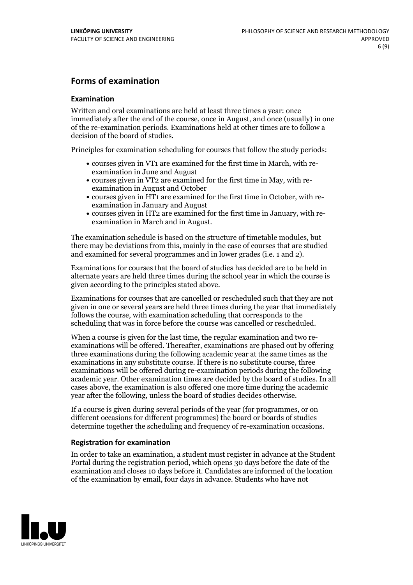### **Forms of examination**

#### **Examination**

Written and oral examinations are held at least three times a year: once immediately after the end of the course, once in August, and once (usually) in one of the re-examination periods. Examinations held at other times are to follow a decision of the board of studies.

Principles for examination scheduling for courses that follow the study periods:

- courses given in VT1 are examined for the first time in March, with re-examination in June and August
- courses given in VT2 are examined for the first time in May, with re-examination in August and October
- courses given in HT1 are examined for the first time in October, with re-examination in January and August
- courses given in HT2 are examined for the first time in January, with re-examination in March and in August.

The examination schedule is based on the structure of timetable modules, but there may be deviations from this, mainly in the case of courses that are studied and examined for several programmes and in lower grades (i.e. 1 and 2).

Examinations for courses that the board of studies has decided are to be held in alternate years are held three times during the school year in which the course is given according to the principles stated above.

Examinations for courses that are cancelled orrescheduled such that they are not given in one or several years are held three times during the year that immediately follows the course, with examination scheduling that corresponds to the scheduling that was in force before the course was cancelled or rescheduled.

When a course is given for the last time, the regular examination and two re-<br>examinations will be offered. Thereafter, examinations are phased out by offering three examinations during the following academic year at the same times as the examinations in any substitute course. If there is no substitute course, three examinations will be offered during re-examination periods during the following academic year. Other examination times are decided by the board of studies. In all cases above, the examination is also offered one more time during the academic year after the following, unless the board of studies decides otherwise.

If a course is given during several periods of the year (for programmes, or on different occasions for different programmes) the board or boards of studies determine together the scheduling and frequency of re-examination occasions.

#### **Registration for examination**

In order to take an examination, a student must register in advance at the Student Portal during the registration period, which opens 30 days before the date of the examination and closes 10 days before it. Candidates are informed of the location of the examination by email, four days in advance. Students who have not

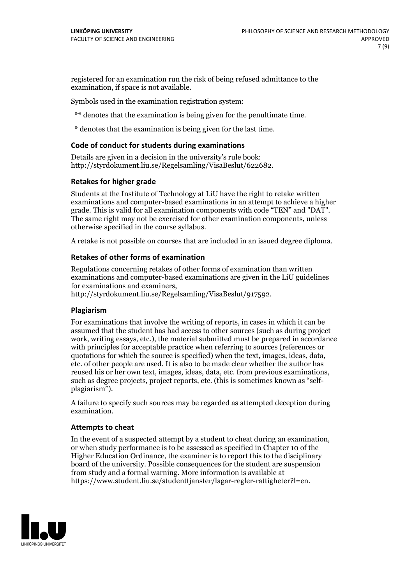registered for an examination run the risk of being refused admittance to the examination, if space is not available.

Symbols used in the examination registration system:

\*\* denotes that the examination is being given for the penultimate time.

\* denotes that the examination is being given for the last time.

#### **Code of conduct for students during examinations**

Details are given in a decision in the university's rule book: http://styrdokument.liu.se/Regelsamling/VisaBeslut/622682.

#### **Retakes for higher grade**

Students at the Institute of Technology at LiU have the right to retake written examinations and computer-based examinations in an attempt to achieve a higher grade. This is valid for all examination components with code "TEN" and "DAT". The same right may not be exercised for other examination components, unless otherwise specified in the course syllabus.

A retake is not possible on courses that are included in an issued degree diploma.

#### **Retakes of other forms of examination**

Regulations concerning retakes of other forms of examination than written examinations and computer-based examinations are given in the LiU guidelines

http://styrdokument.liu.se/Regelsamling/VisaBeslut/917592.

#### **Plagiarism**

For examinations that involve the writing of reports, in cases in which it can be assumed that the student has had access to other sources (such as during project work, writing essays, etc.), the material submitted must be prepared in accordance with principles for acceptable practice when referring to sources (references or quotations for which the source is specified) when the text, images, ideas, data,  $\vec{e}$  etc. of other people are used. It is also to be made clear whether the author has reused his or her own text, images, ideas, data, etc. from previous examinations, such as degree projects, project reports, etc. (this is sometimes known as "self- plagiarism").

A failure to specify such sources may be regarded as attempted deception during examination.

#### **Attempts to cheat**

In the event of <sup>a</sup> suspected attempt by <sup>a</sup> student to cheat during an examination, or when study performance is to be assessed as specified in Chapter <sup>10</sup> of the Higher Education Ordinance, the examiner is to report this to the disciplinary board of the university. Possible consequences for the student are suspension from study and a formal warning. More information is available at https://www.student.liu.se/studenttjanster/lagar-regler-rattigheter?l=en.

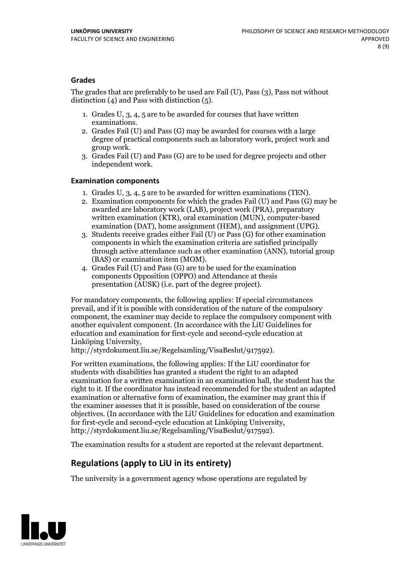#### **Grades**

The grades that are preferably to be used are Fail (U), Pass (3), Pass not without distinction  $(4)$  and Pass with distinction  $(5)$ .

- 1. Grades U, 3, 4, 5 are to be awarded for courses that have written
- examinations. 2. Grades Fail (U) and Pass (G) may be awarded for courses with <sup>a</sup> large degree of practical components such as laboratory work, project work and group work. 3. Grades Fail (U) and Pass (G) are to be used for degree projects and other
- independent work.

#### **Examination components**

- 
- 1. Grades U, 3, 4, <sup>5</sup> are to be awarded for written examinations (TEN). 2. Examination components for which the grades Fail (U) and Pass (G) may be awarded are laboratory work (LAB), project work (PRA), preparatory written examination (KTR), oral examination (MUN), computer-based
- examination (DAT), home assignment (HEM), and assignment (UPG). 3. Students receive grades either Fail (U) or Pass (G) for other examination components in which the examination criteria are satisfied principally through active attendance such as other examination (ANN), tutorial group
- (BAS) or examination item (MOM). 4. Grades Fail (U) and Pass (G) are to be used for the examination components Opposition (OPPO) and Attendance at thesis presentation (AUSK) (i.e. part of the degree project).

For mandatory components, the following applies: If special circumstances prevail, and if it is possible with consideration of the nature of the compulsory component, the examiner may decide to replace the compulsory component with another equivalent component. (In accordance with the LiU Guidelines for education and examination for first-cycle and second-cycle education at Linköping University, http://styrdokument.liu.se/Regelsamling/VisaBeslut/917592).

For written examinations, the following applies: If the LiU coordinator for students with disabilities has granted a student the right to an adapted examination for a written examination in an examination hall, the student has the right to it. If the coordinator has instead recommended for the student an adapted examination or alternative form of examination, the examiner may grant this if the examiner assesses that it is possible, based on consideration of the course objectives. (In accordance with the LiU Guidelines for education and examination for first-cycle and second-cycle education at Linköping University, http://styrdokument.liu.se/Regelsamling/VisaBeslut/917592).

The examination results for a student are reported at the relevant department.

### **Regulations (applyto LiU in its entirety)**

The university is a government agency whose operations are regulated by